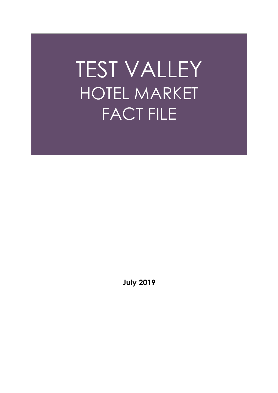# TEST VALLEY HOTEL MARKET FACT FILE

**July 2019**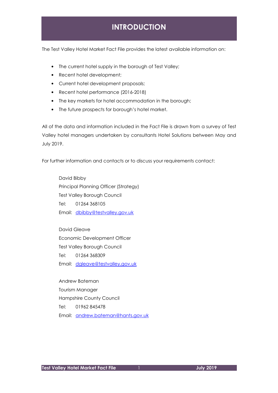# **INTRODUCTION**

The Test Valley Hotel Market Fact File provides the latest available information on:

- The current hotel supply in the borough of Test Valley;
- Recent hotel development;
- Current hotel development proposals;
- Recent hotel performance (2016-2018)
- The key markets for hotel accommodation in the borough;
- The future prospects for borough's hotel market.

All of the data and information included in the Fact File is drawn from a survey of Test Valley hotel managers undertaken by consultants Hotel Solutions between May and July 2019.

For further information and contacts or to discuss your requirements contact:

 David Bibby Principal Planning Officer (Strategy) Test Valley Borough Council Tel: 01264 368105 Email: dbibby@testvalley.gov.uk

David Gleave Economic Development Officer Test Valley Borough Council Tel: 01264 368309 Email: dgleave@testvalley.gov.uk

 Andrew Bateman Tourism Manager Hampshire County Council Tel: 01962 845478 Email: andrew.bateman@hants.gov.uk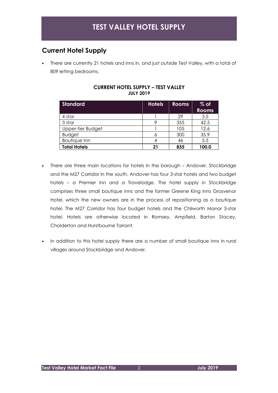## **Current Hotel Supply**

• There are currently 21 hotels and inns in, and just outside Test Valley, with a total of 809 letting bedrooms.

| <b>Standard</b>     | <b>Hotels</b> | <b>Rooms</b> | $%$ of<br><b>Rooms</b> |
|---------------------|---------------|--------------|------------------------|
| 4 star              |               | 29           | 3.5                    |
| 3 star              |               | 355          | 42.5                   |
| Upper-tier Budget   |               | 105          | 12.6                   |
| <b>Budget</b>       |               | 300          | 35.9                   |
| <b>Boutique Inn</b> |               | 46           | 5.5                    |
| <b>Total Hotels</b> | 21            | 835          | 100.0                  |

#### **CURRENT HOTEL SUPPLY – TEST VALLEY JULY 2019**

- There are three main locations for hotels in the borough Andover, Stockbridge and the M27 Corridor in the south. Andover has four 3-star hotels and two budget hotels – a Premier Inn and a Travelodge. The hotel supply in Stockbridge comprises three small boutique inns and the former Greene King Inns Grosvenor Hotel, which the new owners are in the process of repositioning as a boutique hotel. The M27 Corridor has four budget hotels and the Chilworth Manor 3-star hotel. Hotels are otherwise located in Romsey, Ampfield, Barton Stacey, Cholderton and Hurstbourne Tarrant.
- In addition to this hotel supply there are a number of small boutique inns in rural villages around Stockbridge and Andover.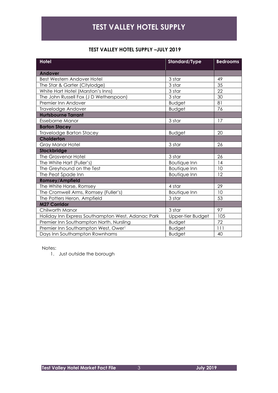# **TEST VALLEY HOTEL SUPPLY**

#### **TEST VALLEY HOTEL SUPPLY –JULY 2019**

| <b>Hotel</b>                                      | <b>Standard/Type</b> | <b>Bedrooms</b> |  |
|---------------------------------------------------|----------------------|-----------------|--|
| <b>Andover</b>                                    |                      |                 |  |
| <b>Best Western Andover Hotel</b>                 | 3 star               | 49              |  |
| The Star & Garter (Citylodge)                     | 3 star               | 35              |  |
| White Hart Hotel (Marston's Inns)                 | 3 star               | 22              |  |
| The John Russell Fox (J D Wetherspoon)            | 3 star               | 30              |  |
| Premier Inn Andover                               | <b>Budget</b>        | 81              |  |
| Travelodge Andover                                | <b>Budget</b>        | 76              |  |
| <b>Hurtsbourne Tarrant</b>                        |                      |                 |  |
| Esseborne Manor                                   | 3 star               | 17              |  |
| <b>Barton Stacey</b>                              |                      |                 |  |
| <b>Travelodge Barton Stacey</b>                   | <b>Budget</b>        | 20              |  |
| Cholderton                                        |                      |                 |  |
| Gray Manor Hotel                                  | 3 star               | 26              |  |
| Stockbridge                                       |                      |                 |  |
| The Grosvenor Hotel                               | 3 star               | 26              |  |
| The White Hart (Fuller's)                         | <b>Boutique Inn</b>  | 14              |  |
| The Greyhound on the Test                         | <b>Boutique Inn</b>  | 10              |  |
| The Peat Spade Inn                                | <b>Boutique Inn</b>  | 12              |  |
| <b>Romsey/Ampfield</b>                            |                      |                 |  |
| The White Horse, Romsey                           | 4 star               | 29              |  |
| The Cromwell Arms, Romsey (Fuller's)              | <b>Boutique Inn</b>  | 10              |  |
| The Potters Heron, Ampfield                       | 3 star               | 53              |  |
| <b>M27 Corridor</b>                               |                      |                 |  |
| Chilworth Manor                                   | 3 star               | 97              |  |
| Holiday Inn Express Southampton West, Adanac Park | Upper-tier Budget    | 105             |  |
| Premier Inn Southampton North, Nursling           | <b>Budget</b>        | 72              |  |
| Premier Inn Southampton West, Owerl               | <b>Budget</b>        | 111             |  |
| Days Inn Southampton Rownhams                     | <b>Budget</b>        | 40              |  |

Notes:

1. Just outside the borough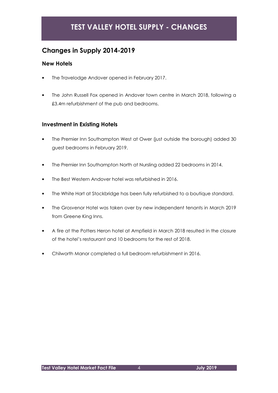# **TEST VALLEY HOTEL SUPPLY - CHANGES**

## **Changes in Supply 2014-2019**

#### **New Hotels**

- The Travelodge Andover opened in February 2017.
- The John Russell Fox opened in Andover town centre in March 2018, following a £3.4m refurbishment of the pub and bedrooms.

#### **Investment in Existing Hotels**

- The Premier Inn Southampton West at Ower (just outside the borough) added 30 guest bedrooms in February 2019.
- The Premier Inn Southampton North at Nursling added 22 bedrooms in 2014.
- The Best Western Andover hotel was refurbished in 2016.
- The White Hart at Stockbridge has been fully refurbished to a boutique standard.
- The Grosvenor Hotel was taken over by new independent tenants in March 2019 from Greene King Inns.
- A fire at the Potters Heron hotel at Ampfield in March 2018 resulted in the closure of the hotel's restaurant and 10 bedrooms for the rest of 2018.
- Chilworth Manor completed a full bedroom refurbishment in 2016.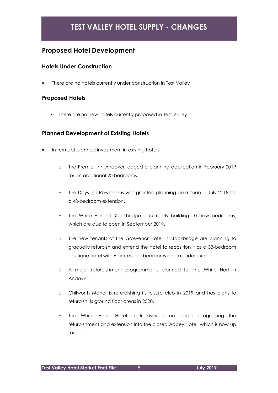# **TEST VALLEY HOTEL SUPPLY - CHANGES**

## **Proposed Hotel Development**

#### **Hotels Under Construction**

There are no hotels currently under construction in Test Valley

#### **Proposed Hotels**

There are no new hotels currently proposed in Test Valley.

#### **Planned Development of Existing Hotels**

- In terms of planned investment in existing hotels:
	- o The Premier Inn Andover lodged a planning application in February 2019 for an additional 20 bedrooms.
	- o The Days Inn Rownhams was granted planning permission in July 2018 for a 40-bedroom extension.
	- o The White Hart at Stockbridge is currently building 10 new bedrooms, which are due to open in September 2019.
	- o The new tenants of the Grosvenor Hotel in Stockbridge are planning to gradually refurbish and extend the hotel to reposition it as a 33-bedroom boutique hotel with 6 accessible bedrooms and a bridal suite.
	- o A major refurbishment programme is planned for the White Hart in Andover.
	- o Chilworth Manor is refurbishing its leisure club in 2019 and has plans to refurbish its ground floor areas in 2020.
	- o The White Horse Hotel in Romsey is no longer progressing the refurbishment and extension into the closed Abbey Hotel, which is now up for sale.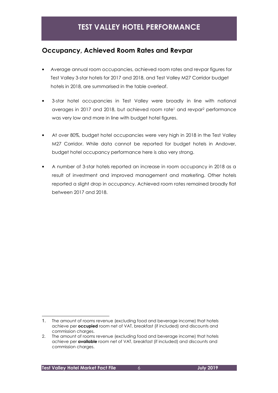## **Occupancy, Achieved Room Rates and Revpar**

- Average annual room occupancies, achieved room rates and revpar figures for Test Valley 3-star hotels for 2017 and 2018, and Test Valley M27 Corridor budget hotels in 2018, are summarised in the table overleaf.
- 3-star hotel occupancies in Test Valley were broadly in line with national averages in 2017 and 2018, but achieved room rate<sup>1</sup> and revpar<sup>2</sup> performance was very low and more in line with budget hotel figures.
- At over 80%, budget hotel occupancies were very high in 2018 in the Test Valley M27 Corridor. While data cannot be reported for budget hotels in Andover, budget hotel occupancy performance here is also very strong.
- A number of 3-star hotels reported an increase in room occupancy in 2018 as a result of investment and improved management and marketing. Other hotels reported a slight drop in occupancy. Achieved room rates remained broadly flat between 2017 and 2018.

<sup>1.</sup> The amount of rooms revenue (excluding food and beverage income) that hotels achieve per **occupied** room net of VAT, breakfast (if included) and discounts and commission charges.

<sup>2.</sup> The amount of rooms revenue (excluding food and beverage income) that hotels achieve per **available** room net of VAT, breakfast (if included) and discounts and commission charges.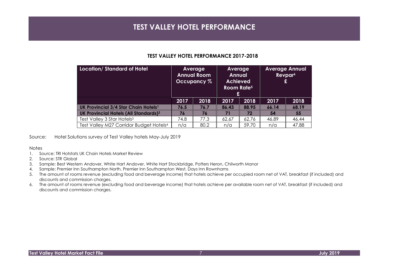## **TEST VALLEY HOTEL PERFORMANCE**

#### **TEST VALLEY HOTEL PERFORMANCE 2017-2018**

| <b>Location/Standard of Hotel</b>                       | Average<br><b>Annual Room</b><br>Occupancy % |      | Average<br><b>Annual</b><br><b>Achieved</b><br>Room Rate <sup>5</sup><br>£ |       | <b>Average Annual</b><br>Revpar <sup>6</sup><br>£ |       |
|---------------------------------------------------------|----------------------------------------------|------|----------------------------------------------------------------------------|-------|---------------------------------------------------|-------|
|                                                         | 2017                                         | 2018 | 2017                                                                       | 2018  | 2017                                              | 2018  |
| UK Provincial 3/4 Star Chain Hotels <sup>1</sup>        | 76.5                                         | 76.7 | 86.43                                                                      | 88.95 | 66.14                                             | 68.19 |
| <b>UK Provincial Hotels (All Standards)<sup>2</sup></b> | 76                                           | 76   | 71                                                                         | 72    | 54                                                | 55    |
| Test Valley 3 Star Hotels <sup>3</sup>                  | 74.8                                         | 77.3 | 62.67                                                                      | 62.76 | 46.89                                             | 46.44 |
| Test Valley M27 Corridor Budget Hotels <sup>4</sup>     | n/a                                          | 80.2 | n/a                                                                        | 59.70 | n/a                                               | 47.88 |

Source: Hotel Solutions survey of Test Valley hotels May-July 2019

#### Notes

- 1. Source: TRI Hotstats UK Chain Hotels Market Review
- 2. Source: STR Global
- 3. Sample: Best Western Andover, White Hart Andover, White Hart Stockbridge, Potters Heron, Chilworth Manor
- 4. Sample: Premier Inn Southampton North, Premier Inn Southampton West, Days Inn Rownhams
- 5. The amount of rooms revenue (excluding food and beverage income) that hotels achieve per occupied room net of VAT, breakfast (if included) and discounts and commission charges.
- 6. The amount of rooms revenue (excluding food and beverage income) that hotels achieve per available room net of VAT, breakfast (if included) and discounts and commission charges.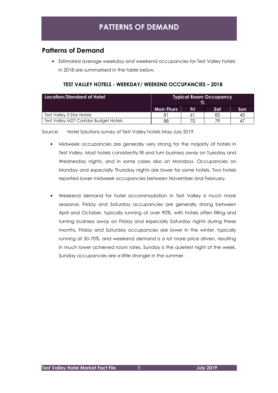# **PATTERNS OF DEMAND**

## **Patterns of Demand**

• Estimated average weekday and weekend occupancies for Test Valley hotels in 2018 are summarised in the table below.

| <b>Location/Standard of Hotel</b>      | <b>Typical Room Occupancy</b><br>$\mathcal{Z}_{\alpha}$ |     |     |     |
|----------------------------------------|---------------------------------------------------------|-----|-----|-----|
|                                        | <b>Mon-Thurs</b>                                        | Fri | Sat | Sun |
| Test Valley 3 Star Hotels              |                                                         |     | 85  | -43 |
| Test Valley M27 Corridor Budget Hotels | 88                                                      |     | 70  | 4   |

#### **TEST VALLEY HOTELS - WEEKDAY/ WEEKEND OCCUPANCIES – 2018**

Source: Hotel Solutions survey of Test Valley hotels May-July 2019

- Midweek occupancies are generally very strong for the majority of hotels in Test Valley. Most hotels consistently fill and turn business away on Tuesday and Wednesday nights, and in some cases also on Mondays. Occupancies on Monday and especially Thursday nights are lower for some hotels. Two hotels reported lower midweek occupancies between November and February.
- Weekend demand for hotel accommodation in Test Valley is much more seasonal. Friday and Saturday occupancies are generally strong between April and October, typically running at over 90%, with hotels often filling and turning business away on Friday and especially Saturday nights during these months. Friday and Saturday occupancies are lower in the winter, typically running at 50-70%, and weekend demand is a lot more price driven, resulting in much lower achieved room rates. Sunday is the quietest night of the week. Sunday occupancies are a little stronger in the summer.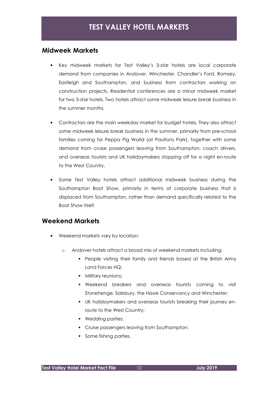#### **Midweek Markets**

- Key midweek markets for Test Valley's 3-star hotels are local corporate demand from companies in Andover, Winchester, Chandler's Ford, Romsey, Eastleigh and Southampton, and business from contractors working on construction projects. Residential conferences are a minor midweek market for two 3-star hotels. Two hotels attract some midweek leisure break business in the summer months.
- Contractors are the main weekday market for budget hotels. They also attract some midweek leisure break business in the summer, primarily from pre-school families coming for Peppa Pig World (at Paultons Park), together with some demand from cruise passengers leaving from Southampton, coach drivers, and overseas tourists and UK holidaymakers stopping off for a night en-route to the West Country.
- Some Test Valley hotels attract additional midweek business during the Southampton Boat Show, primarily in terms of corporate business that is displaced from Southampton, rather than demand specifically related to the Boat Show itself.

### **Weekend Markets**

- Weekend markets vary by location:
	- o Andover hotels attract a broad mix of weekend markets including:
		- **People visiting their family and friends based at the British Army** Land Forces HQ;
		- **Military reunions:**
		- Weekend breakers and overseas tourists coming to visit Stonehenge, Salisbury, the Hawk Conservancy and Winchester;
		- UK holidaymakers and overseas tourists breaking their journey enroute to the West Country;
		- **•** Wedding parties;
		- **Cruise passengers leaving from Southampton;**
		- Some fishing parties.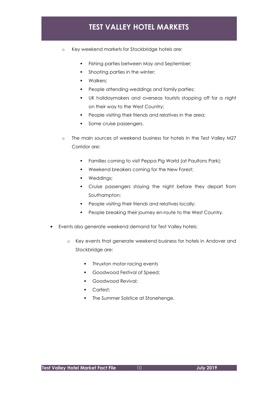# **TEST VALLEY HOTEL MARKETS**

- o Key weekend markets for Stockbridge hotels are:
	- Fishing parties between May and September;
	- Shooting parties in the winter;
	- **•** Walkers;
	- People attending weddings and family parties;
	- UK holidaymakers and overseas tourists stopping off for a night on their way to the West Country;
	- People visiting their friends and relatives in the area;
	- Some cruise passengers.
- o The main sources of weekend business for hotels In the Test Valley M27 Corridor are:
	- Families coming to visit Peppa Pig World (at Paultons Park);
	- **Weekend breakers coming for the New Forest;**
	- **•** Weddings;
	- Cruise passengers staying the night before they depart from Southampton;
	- People visiting their friends and relatives locally;
	- People breaking their journey en-route to the West Country.
- Events also generate weekend demand for Test Valley hotels:
	- o Key events that generate weekend business for hotels in Andover and Stockbridge are:
		- Thruxton motor racing events
		- **Goodwood Festival of Speed;**
		- **Goodwood Revival:**
		- **Carfest:**
		- The Summer Solstice at Stonehenge.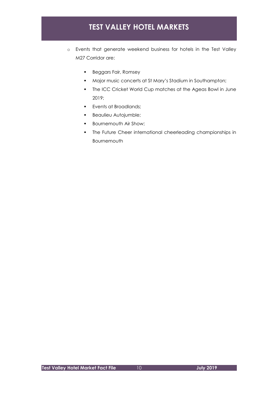# **TEST VALLEY HOTEL MARKETS**

- o Events that generate weekend business for hotels in the Test Valley M27 Corridor are:
	- **Beggars Fair, Romsey**
	- Major music concerts at St Mary's Stadium in Southampton;
	- The ICC Cricket World Cup matches at the Ageas Bowl in June 2019;
	- **Events at Broadlands;**
	- **Beaulieu Autojumble;**
	- **Bournemouth Air Show;**
	- **The Future Cheer international cheerleading championships in** Bournemouth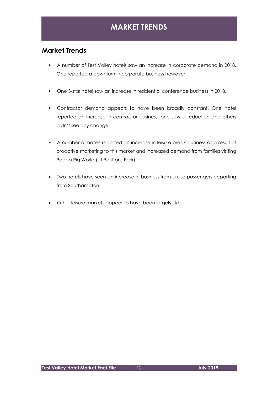## **MARKET TRENDS**

## **Market Trends**

- A number of Test Valley hotels saw an increase in corporate demand in 2018. One reported a downturn in corporate business however.
- One 3-star hotel saw an increase in residential conference business in 2018.
- Contractor demand appears to have been broadly constant. One hotel reported an increase in contractor business, one saw a reduction and others didn't see any change.
- A number of hotels reported an increase in leisure break business as a result of proactive marketing to this market and increased demand from families visiting Peppa Pig World (at Paultons Park).
- Two hotels have seen an increase in business from cruise passengers departing from Southampton.
- Other leisure markets appear to have been largely stable.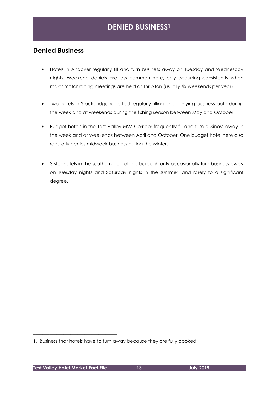## **DENIED BUSINESS<sup>1</sup>**

### **Denied Business**

- Hotels in Andover regularly fill and turn business away on Tuesday and Wednesday nights. Weekend denials are less common here, only occurring consistently when major motor racing meetings are held at Thruxton (usually six weekends per year).
- Two hotels in Stockbridge reported regularly filling and denying business both during the week and at weekends during the fishing season between May and October.
- Budget hotels in the Test Valley M27 Corridor frequently fill and turn business away in the week and at weekends between April and October. One budget hotel here also regularly denies midweek business during the winter.
- 3-star hotels in the southern part of the borough only occasionally turn business away on Tuesday nights and Saturday nights in the summer, and rarely to a significant degree.

\_\_\_\_\_\_\_\_\_\_\_\_\_\_\_\_\_\_\_\_\_\_\_\_\_\_\_\_\_\_\_\_\_\_\_\_

<sup>1.</sup> Business that hotels have to turn away because they are fully booked.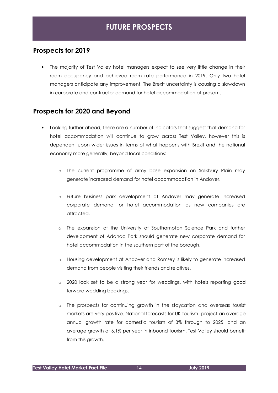## **FUTURE PROSPECTS**

### **Prospects for 2019**

• The majority of Test Valley hotel managers expect to see very little change in their room occupancy and achieved room rate performance in 2019. Only two hotel managers anticipate any improvement. The Brexit uncertainty is causing a slowdown in corporate and contractor demand for hotel accommodation at present.

### **Prospects for 2020 and Beyond**

- Looking further ahead, there are a number of indicators that suggest that demand for hotel accommodation will continue to grow across Test Valley, however this is dependent upon wider issues in terms of what happens with Brexit and the national economy more generally, beyond local conditions:
	- o The current programme of army base expansion on Salisbury Plain may generate increased demand for hotel accommodation in Andover.
	- o Future business park development at Andover may generate increased corporate demand for hotel accommodation as new companies are attracted.
	- o The expansion of the University of Southampton Science Park and further development of Adanac Park should generate new corporate demand for hotel accommodation in the southern part of the borough.
	- o Housing development at Andover and Romsey is likely to generate increased demand from people visiting their friends and relatives.
	- o 2020 look set to be a strong year for weddings, with hotels reporting good forward wedding bookings.
	- o The prospects for continuing growth in the staycation and overseas tourist markets are very positive. National forecasts for UK tourism<sup>1</sup> project an average annual growth rate for domestic tourism of 3% through to 2025, and an average growth of 6.1% per year in inbound tourism. Test Valley should benefit from this growth.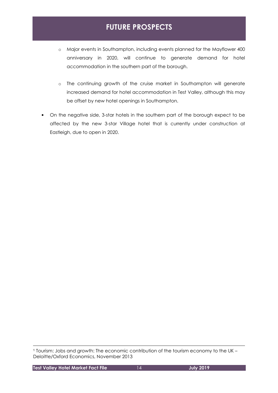# **FUTURE PROSPECTS**

- o Major events in Southampton, including events planned for the Mayflower 400 anniversary in 2020, will continue to generate demand for hotel accommodation in the southern part of the borough.
- o The continuing growth of the cruise market in Southampton will generate increased demand for hotel accommodation in Test Valley, although this may be offset by new hotel openings in Southampton.
- On the negative side, 3-star hotels in the southern part of the borough expect to be affected by the new 3-star Village hotel that is currently under construction at Eastleigh, due to open in 2020.

<sup>1</sup> Tourism: Jobs and growth: The economic contribution of the tourism economy to the UK – Deloitte/Oxford Economics, November 2013